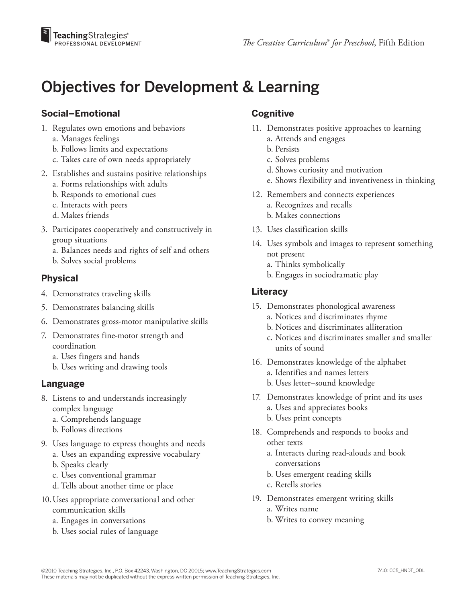# Objectives for Development & Learning

# **Social–Emotional**

- 1. Regulates own emotions and behaviors
	- a. Manages feelings
	- b. Follows limits and expectations
	- c. Takes care of own needs appropriately
- 2. Establishes and sustains positive relationships a. Forms relationships with adults
	- b. Responds to emotional cues
	- c. Interacts with peers
	- d. Makes friends
- 3. Participates cooperatively and constructively in group situations
	- a. Balances needs and rights of self and others
	- b. Solves social problems

## **Physical**

- 4. Demonstrates traveling skills
- 5. Demonstrates balancing skills
- 6. Demonstrates gross-motor manipulative skills
- 7. Demonstrates fine-motor strength and coordination
	- a. Uses fingers and hands
	- b. Uses writing and drawing tools

#### **Language**

- 8. Listens to and understands increasingly complex language
	- a. Comprehends language
	- b. Follows directions
- 9. Uses language to express thoughts and needs
	- a. Uses an expanding expressive vocabulary
	- b. Speaks clearly
	- c. Uses conventional grammar
	- d. Tells about another time or place
- 10. Uses appropriate conversational and other communication skills
	- a. Engages in conversations
	- b. Uses social rules of language

# **Cognitive**

- 11. Demonstrates positive approaches to learning
	- a. Attends and engages
	- b. Persists
	- c. Solves problems
	- d. Shows curiosity and motivation
	- e. Shows flexibility and inventiveness in thinking
- 12. Remembers and connects experiences
	- a. Recognizes and recalls
	- b. Makes connections
- 13. Uses classification skills
- 14. Uses symbols and images to represent something not present
	- a. Thinks symbolically
	- b. Engages in sociodramatic play

# **Literacy**

- 15. Demonstrates phonological awareness
	- a. Notices and discriminates rhyme
	- b. Notices and discriminates alliteration
	- c. Notices and discriminates smaller and smaller units of sound
- 16. Demonstrates knowledge of the alphabet a. Identifies and names letters b. Uses letter–sound knowledge
- 17. Demonstrates knowledge of print and its uses a. Uses and appreciates books b. Uses print concepts
- 18. Comprehends and responds to books and other texts
	- a. Interacts during read-alouds and book conversations
	- b. Uses emergent reading skills
	- c. Retells stories
- 19. Demonstrates emergent writing skills
	- a. Writes name
	- b. Writes to convey meaning